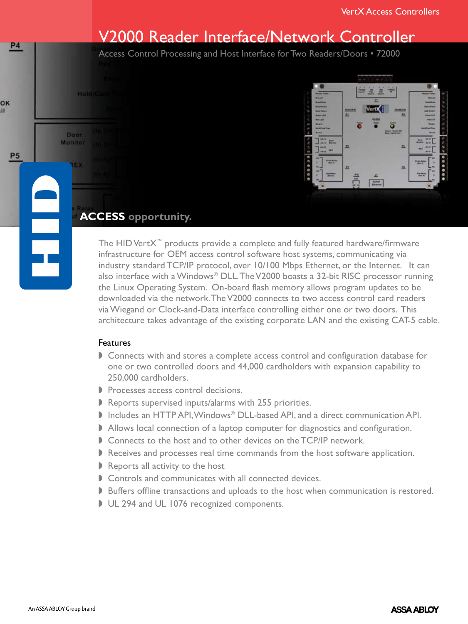# V2000 Reader Interface/Network Controller

Access Control Processing and Host Interface for Two Readers/Doors • 72000



## **ACCESS opportunity.**

**Hold/Car** 

Door Monitor

**P4** 

OK ıİ

**P5** 

The HID VertX™ products provide a complete and fully featured hardware/firmware infrastructure for OEM access control software host systems, communicating via industry standard TCP/IP protocol, over 10/100 Mbps Ethernet, or the Internet. It can also interface with a Windows® DLL. The V2000 boasts a 32-bit RISC processor running the Linux Operating System. On-board flash memory allows program updates to be downloaded via the network. The V2000 connects to two access control card readers via Wiegand or Clock-and-Data interface controlling either one or two doors. This architecture takes advantage of the existing corporate LAN and the existing CAT-5 cable.

## Features

- **Connects with and stores a complete access control and configuration database for** one or two controlled doors and 44,000 cardholders with expansion capability to 250,000 cardholders.
- Processes access control decisions.
- $\blacktriangleright$  Reports supervised inputs/alarms with 255 priorities.
- Includes an HTTP API, Windows® DLL-based API, and a direct communication API.
- Allows local connection of a laptop computer for diagnostics and configuration.
- Gonnects to the host and to other devices on the TCP/IP network.
- $\blacktriangleright$  Receives and processes real time commands from the host software application.
- $\triangleright$  Reports all activity to the host
- $\triangleright$  Controls and communicates with all connected devices.
- Buffers offline transactions and uploads to the host when communication is restored.
- UL 294 and UL 1076 recognized components.